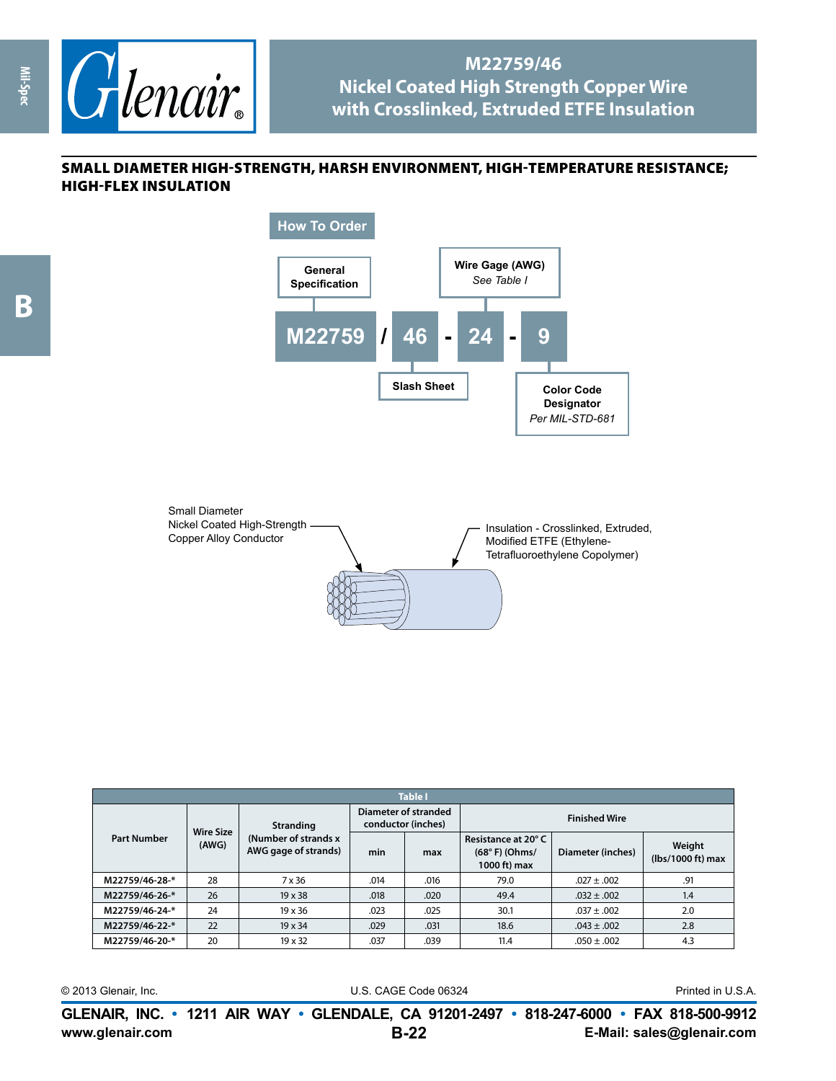

## **M22759/46 Nickel Coated High Strength Copper Wire with Crosslinked, Extruded ETFE Insulation**

## small diameter high-strength, harsh environment, high-temperature resistance; high-flex insulation



Small Diameter Nickel Coated High-Strength Copper Alloy Conductor Insulation - Crosslinked, Extruded, Modified ETFE (Ethylene-Tetrafluoroethylene Copolymer)

| <b>Table I</b>     |                           |                                                                   |                                            |      |                                                        |                   |                             |  |  |
|--------------------|---------------------------|-------------------------------------------------------------------|--------------------------------------------|------|--------------------------------------------------------|-------------------|-----------------------------|--|--|
| <b>Part Number</b> | <b>Wire Size</b><br>(AWG) | <b>Stranding</b><br>(Number of strands x)<br>AWG gage of strands) | Diameter of stranded<br>conductor (inches) |      | <b>Finished Wire</b>                                   |                   |                             |  |  |
|                    |                           |                                                                   | min                                        | max  | Resistance at 20°C<br>$(68° F)$ (Ohms/<br>1000 ft) max | Diameter (inches) | Weight<br>(lbs/1000 ft) max |  |  |
| M22759/46-28-*     | 28                        | 7 x 36                                                            | .014                                       | .016 | 79.0                                                   | $.027 \pm .002$   | .91                         |  |  |
| M22759/46-26-*     | 26                        | $19 \times 38$                                                    | .018                                       | .020 | 49.4                                                   | $.032 \pm .002$   | 1.4                         |  |  |
| M22759/46-24-*     | 24                        | $19 \times 36$                                                    | .023                                       | .025 | 30.1                                                   | $.037 \pm .002$   | 2.0                         |  |  |
| M22759/46-22-*     | 22                        | $19 \times 34$                                                    | .029                                       | .031 | 18.6                                                   | $.043 \pm .002$   | 2.8                         |  |  |
| M22759/46-20-*     | 20                        | $19 \times 32$                                                    | .037                                       | .039 | 11.4                                                   | $.050 \pm .002$   | 4.3                         |  |  |

© 2013 Glenair, Inc. U.S. CAGE Code 06324 Printed in U.S.A.

**www.glenair.com E-Mail: sales@glenair.com GLENAIR, INC. • 1211 AIR WAY • GLENDALE, CA 91201-2497 • 818-247-6000 • FAX 818-500-9912 B-22**

**Mil-Spec**